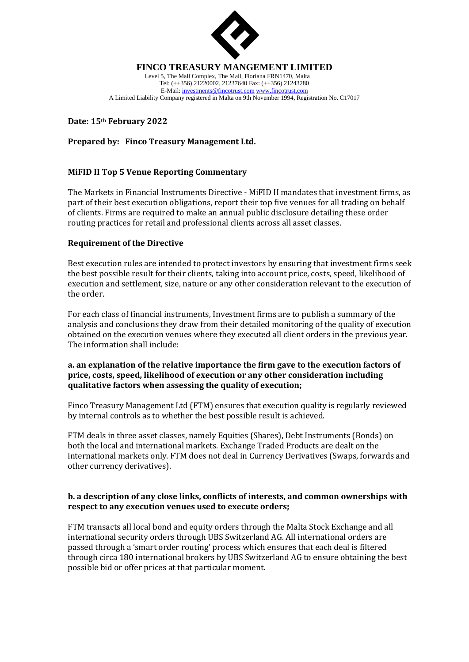

#### **FINCO TREASURY MANGEMENT LIMITED**

Level 5, The Mall Complex, The Mall, Floriana FRN1470, Malta Tel: (++356) 21220002, 21237640 Fax: (++356) 21243280 E-Mail[: investments@fincotrust.com](mailto:investments@fincotrust.com) [www.fincotrust.com](http://www.fincotrust.com/) A Limited Liability Company registered in Malta on 9th November 1994, Registration No. C17017

## **Date: 15th February 2022**

# **Prepared by: Finco Treasury Management Ltd.**

## **MiFID II Top 5 Venue Reporting Commentary**

The Markets in Financial Instruments Directive - MiFID II mandates that investment firms, as part of their best execution obligations, report their top five venues for all trading on behalf of clients. Firms are required to make an annual public disclosure detailing these order routing practices for retail and professional clients across all asset classes.

#### **Requirement of the Directive**

Best execution rules are intended to protect investors by ensuring that investment firms seek the best possible result for their clients, taking into account price, costs, speed, likelihood of execution and settlement, size, nature or any other consideration relevant to the execution of the order.

For each class of financial instruments, Investment firms are to publish a summary of the analysis and conclusions they draw from their detailed monitoring of the quality of execution obtained on the execution venues where they executed all client orders in the previous year. The information shall include:

#### **a. an explanation of the relative importance the firm gave to the execution factors of price, costs, speed, likelihood of execution or any other consideration including qualitative factors when assessing the quality of execution;**

Finco Treasury Management Ltd (FTM) ensures that execution quality is regularly reviewed by internal controls as to whether the best possible result is achieved.

FTM deals in three asset classes, namely Equities (Shares), Debt Instruments (Bonds) on both the local and international markets. Exchange Traded Products are dealt on the international markets only. FTM does not deal in Currency Derivatives (Swaps, forwards and other currency derivatives).

## **b. a description of any close links, conflicts of interests, and common ownerships with respect to any execution venues used to execute orders;**

FTM transacts all local bond and equity orders through the Malta Stock Exchange and all international security orders through UBS Switzerland AG. All international orders are passed through a 'smart order routing' process which ensures that each deal is filtered through circa 180 international brokers by UBS Switzerland AG to ensure obtaining the best possible bid or offer prices at that particular moment.